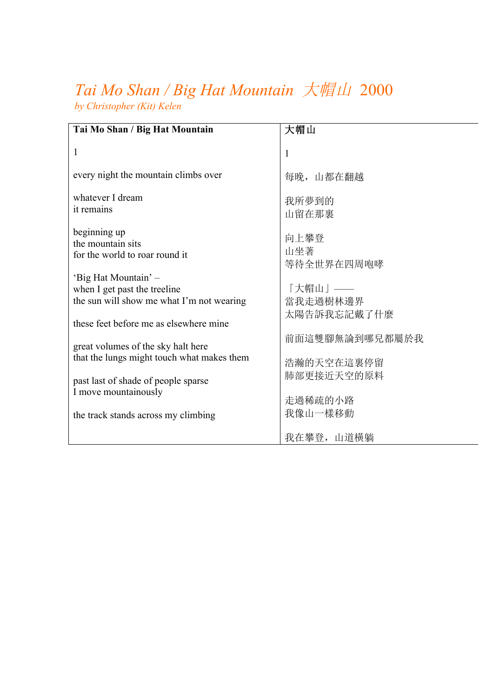## *Tai Mo Shan / Big Hat Mountain* 大帽山2000 *by Christopher (Kit) Kelen*

| Tai Mo Shan / Big Hat Mountain                                                                                                              | 大帽山                                |
|---------------------------------------------------------------------------------------------------------------------------------------------|------------------------------------|
| 1                                                                                                                                           | $\mathbf{1}$                       |
| every night the mountain climbs over                                                                                                        | 每晚, 山都在翻越                          |
| whatever I dream<br>it remains                                                                                                              | 我所夢到的<br>山留在那裏                     |
| beginning up<br>the mountain sits<br>for the world to roar round it                                                                         | 向上攀登<br>山坐著<br>等待全世界在四周咆哮          |
| 'Big Hat Mountain' -<br>when I get past the treeline<br>the sun will show me what I'm not wearing<br>these feet before me as elsewhere mine | 「大帽山」——<br>當我走過樹林邊界<br>太陽告訴我忘記戴了什麼 |
| great volumes of the sky halt here<br>that the lungs might touch what makes them                                                            | 前面這雙腳無論到哪兒都屬於我<br>浩瀚的天空在這裏停留       |
| past last of shade of people sparse<br>I move mountainously                                                                                 | 肺部更接近天空的原料                         |
| the track stands across my climbing                                                                                                         | 走過稀疏的小路<br>我像山一樣移動                 |
|                                                                                                                                             | 我在攀登, 山道橫躺                         |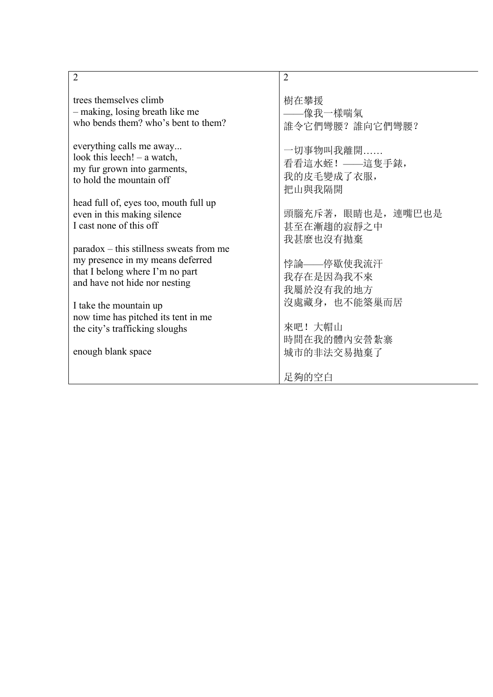| $\overline{2}$                                                                                                                                    | $\overline{2}$                       |
|---------------------------------------------------------------------------------------------------------------------------------------------------|--------------------------------------|
| trees themselves climb                                                                                                                            | 樹在攀援                                 |
| - making, losing breath like me                                                                                                                   | ——像我一樣喘氣                             |
| who bends them? who's bent to them?                                                                                                               | 誰令它們彎腰?誰向它們彎腰?                       |
| everything calls me away                                                                                                                          | 一切事物叫我離開                             |
| look this leech! $-$ a watch,                                                                                                                     | 看看這水蛭! ——這隻手錶,                       |
| my fur grown into garments,                                                                                                                       | 我的皮毛變成了衣服,                           |
| to hold the mountain off                                                                                                                          | 把山與我隔開                               |
| head full of, eyes too, mouth full up                                                                                                             | 頭腦充斥著, 眼睛也是, 連嘴巴也是                   |
| even in this making silence                                                                                                                       | 甚至在漸趨的寂靜之中                           |
| I cast none of this off                                                                                                                           | 我甚麼也沒有拋棄                             |
| $paradox - this stillness$ sweats from me<br>my presence in my means deferred<br>that I belong where I'm no part<br>and have not hide nor nesting | 悖論——停歇使我流汗<br>我存在是因為我不來<br>我屬於沒有我的地方 |
| I take the mountain up                                                                                                                            | 沒處藏身, 也不能築巢而居                        |
| now time has pitched its tent in me                                                                                                               | 來吧! 大帽山                              |
| the city's trafficking sloughs                                                                                                                    | 時間在我的體內安營紮寨                          |
| enough blank space                                                                                                                                | 城市的非法交易抛棄了<br>足夠的空白                  |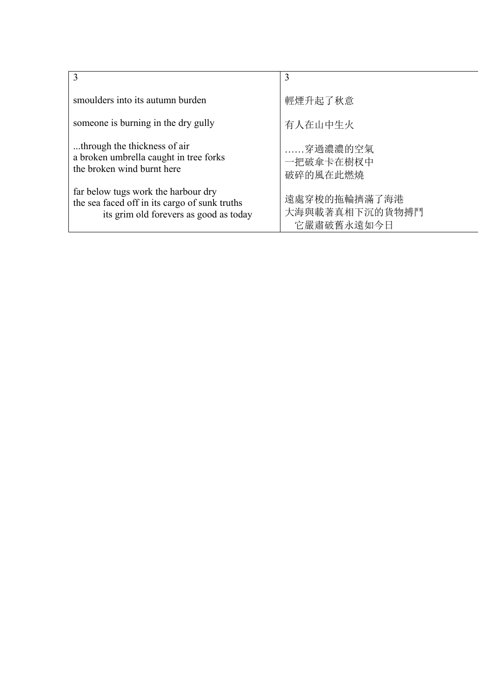| 3                                                                                                                              | 3                                            |
|--------------------------------------------------------------------------------------------------------------------------------|----------------------------------------------|
| smoulders into its autumn burden                                                                                               | 輕煙升起了秋意                                      |
| someone is burning in the dry gully                                                                                            | 有人在山中生火                                      |
| through the thickness of air<br>a broken umbrella caught in tree forks<br>the broken wind burnt here                           | 穿過濃濃的空氣<br>一把破傘卡在樹杈中<br>破碎的風在此燃燒             |
| far below tugs work the harbour dry<br>the sea faced off in its cargo of sunk truths<br>its grim old forevers as good as today | 遠處穿梭的拖輪擠滿了海港<br>大海與載著真相下沉的貨物搏鬥<br>它嚴肅破舊永遠如今日 |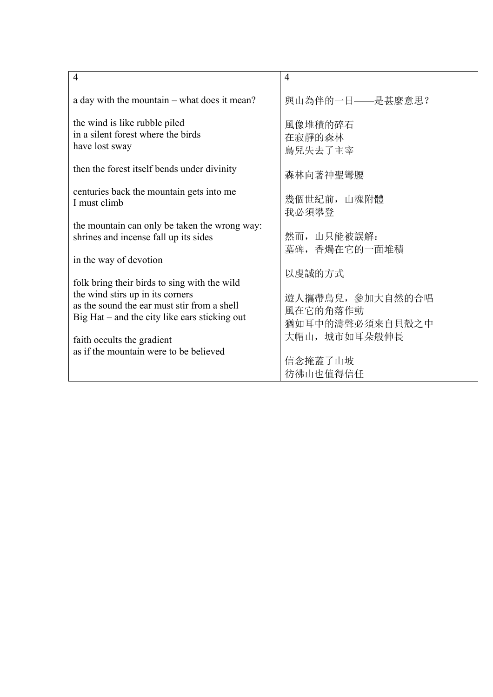| $\overline{4}$                                                                         | $\overline{4}$               |
|----------------------------------------------------------------------------------------|------------------------------|
| a day with the mountain – what does it mean?                                           | 與山為伴的一日——是甚麼意思?              |
| the wind is like rubble piled<br>in a silent forest where the birds<br>have lost sway  | 風像堆積的碎石<br>在寂靜的森林<br>鳥兒失去了主宰 |
| then the forest itself bends under divinity                                            | 森林向著神聖彎腰                     |
| centuries back the mountain gets into me<br>I must climb                               | 幾個世紀前, 山魂附體<br>我必須攀登         |
| the mountain can only be taken the wrong way:<br>shrines and incense fall up its sides | 然而,山只能被誤解:<br>墓碑,香燭在它的一面堆積   |
| in the way of devotion                                                                 |                              |
| folk bring their birds to sing with the wild<br>the wind stirs up in its corners       | 以虔誠的方式<br>遊人攜帶鳥兒, 參加大自然的合唱   |
| as the sound the ear must stir from a shell                                            | 風在它的角落作動                     |
| Big $Hat$ – and the city like ears sticking out                                        | 猶如耳中的濤聲必須來自貝殼之中              |
| faith occults the gradient                                                             | 大帽山, 城市如耳朵般伸長                |
| as if the mountain were to be believed                                                 | 信念掩蓋了山坡                      |
|                                                                                        | 彷彿山也值得信任                     |
|                                                                                        |                              |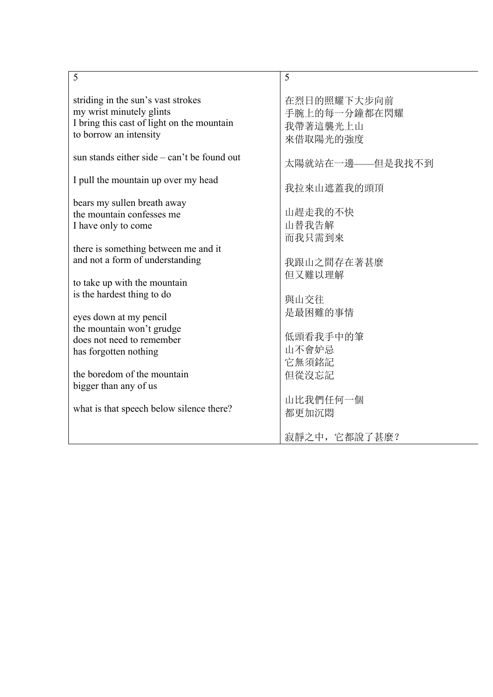| 在烈日的照耀下大步向前<br>striding in the sun's vast strokes<br>my wrist minutely glints<br>手腕上的每一分鐘都在閃耀<br>I bring this cast of light on the mountain<br>我帶著這襲光上山<br>to borrow an intensity<br>來借取陽光的強度<br>sun stands either side – can't be found out<br>太陽就站在一邊——但是我找不到                                                                                                                                                                                                                                                                                                       |                                     |            |
|-----------------------------------------------------------------------------------------------------------------------------------------------------------------------------------------------------------------------------------------------------------------------------------------------------------------------------------------------------------------------------------------------------------------------------------------------------------------------------------------------------------------------------------------------------------------------|-------------------------------------|------------|
|                                                                                                                                                                                                                                                                                                                                                                                                                                                                                                                                                                       |                                     |            |
|                                                                                                                                                                                                                                                                                                                                                                                                                                                                                                                                                                       |                                     |            |
|                                                                                                                                                                                                                                                                                                                                                                                                                                                                                                                                                                       | I pull the mountain up over my head | 我拉來山遮蓋我的頭頂 |
| bears my sullen breath away<br>山趕走我的不快<br>the mountain confesses me<br>山替我告解<br>I have only to come<br>而我只需到來<br>there is something between me and it<br>and not a form of understanding<br>我跟山之間存在著甚麼<br>但又難以理解<br>to take up with the mountain<br>is the hardest thing to do<br>與山交往<br>是最困難的事情<br>eyes down at my pencil<br>the mountain won't grudge<br>低頭看我手中的筆<br>does not need to remember<br>山不會妒忌<br>has forgotten nothing<br>它無須銘記<br>the boredom of the mountain<br>但從沒忘記<br>bigger than any of us<br>山比我們任何一個<br>what is that speech below silence there? |                                     |            |
| 都更加沉悶<br>寂靜之中, 它都說了甚麼?                                                                                                                                                                                                                                                                                                                                                                                                                                                                                                                                                |                                     |            |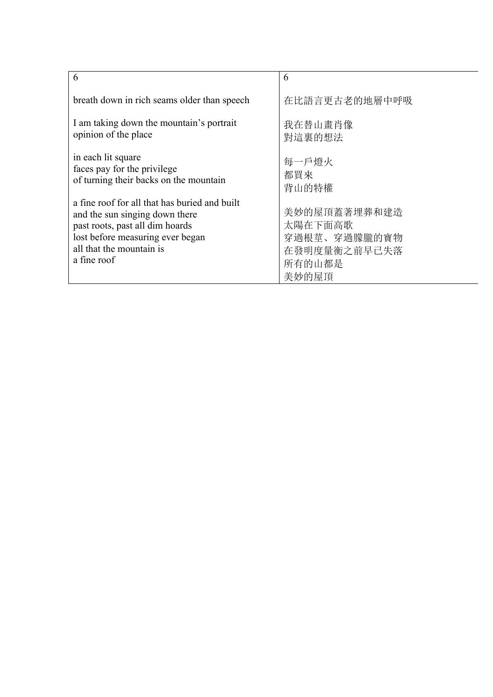| 6                                             | 6             |
|-----------------------------------------------|---------------|
| breath down in rich seams older than speech   | 在比語言更古老的地層中呼吸 |
| I am taking down the mountain's portrait      | 我在替山畫肖像       |
| opinion of the place                          | 對這裏的想法        |
| in each lit square                            | 每一戶燈火         |
| faces pay for the privilege                   | 都買來           |
| of turning their backs on the mountain        | 背山的特權         |
| a fine roof for all that has buried and built | 美妙的屋頂蓋著埋葬和建造  |
| and the sun singing down there                | 太陽在下面高歌       |
| past roots, past all dim hoards               | 穿過根莖、穿過朦朧的寶物  |
| lost before measuring ever began              | 在發明度量衡之前早已失落  |
| all that the mountain is                      | 所有的山都是        |
| a fine roof                                   | 美妙的屋頂         |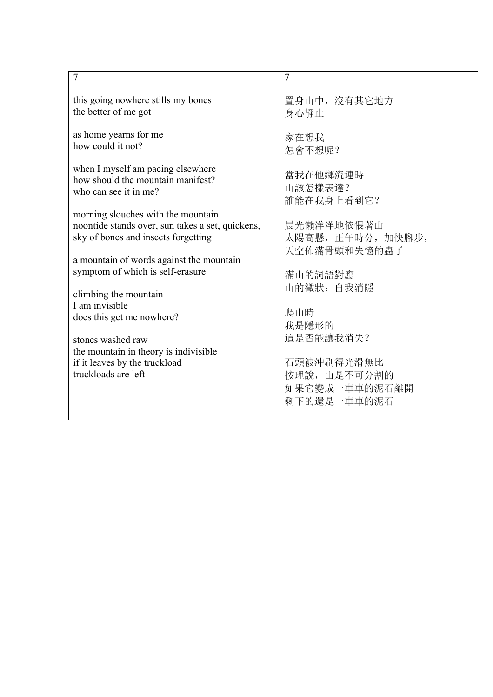| $\overline{7}$                                                                                                     | $\overline{7}$                          |
|--------------------------------------------------------------------------------------------------------------------|-----------------------------------------|
| this going nowhere stills my bones                                                                                 | 置身山中, 沒有其它地方                            |
| the better of me got                                                                                               | 身心靜止                                    |
| as home yearns for me                                                                                              | 家在想我                                    |
| how could it not?                                                                                                  | 怎會不想呢?                                  |
| when I myself am pacing elsewhere                                                                                  | 當我在他鄉流連時                                |
| how should the mountain manifest?                                                                                  | 山該怎樣表達?                                 |
| who can see it in me?                                                                                              | 誰能在我身上看到它?                              |
| morning slouches with the mountain                                                                                 | 晨光懶洋洋地依偎著山                              |
| noontide stands over, sun takes a set, quickens,                                                                   | 太陽高懸, 正午時分, 加快腳步,                       |
| sky of bones and insects forgetting                                                                                | 天空佈滿骨頭和失憶的蟲子                            |
| a mountain of words against the mountain<br>symptom of which is self-erasure                                       | 滿山的詞語對應                                 |
| climbing the mountain                                                                                              | 山的徵狀: 自我消隱                              |
| I am invisible                                                                                                     | 爬山時                                     |
| does this get me nowhere?                                                                                          | 我是隱形的                                   |
| stones washed raw<br>the mountain in theory is indivisible<br>if it leaves by the truckload<br>truckloads are left | 這是否能讓我消失?<br>石頭被沖刷得光滑無比<br>按理說, 山是不可分割的 |
|                                                                                                                    | 如果它變成一車車的泥石離開<br>剩下的還是一車車的泥石            |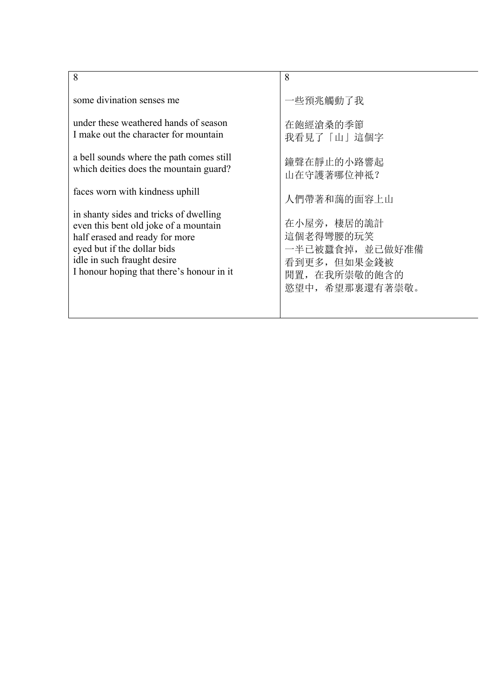| 8                                         | 8               |
|-------------------------------------------|-----------------|
| some divination senses me                 | 一些預兆觸動了我        |
| under these weathered hands of season     | 在飽經滄桑的季節        |
| I make out the character for mountain     | 我看見了「山」這個字      |
| a bell sounds where the path comes still  | 鐘聲在靜止的小路響起      |
| which deities does the mountain guard?    | 山在守護著哪位神祗?      |
| faces worn with kindness uphill           | 人們帶著和藹的面容上山     |
| in shanty sides and tricks of dwelling    | 在小屋旁, 棲居的詭計     |
| even this bent old joke of a mountain     | 這個老得彎腰的玩笑       |
| half erased and ready for more            | 一半已被蠶食掉, 並已做好准備 |
| eyed but if the dollar bids               | 看到更多,但如果金錢被     |
| idle in such fraught desire               | 閒置,在我所崇敬的飽含的    |
| I honour hoping that there's honour in it | 慾望中, 希望那裏還有著崇敬。 |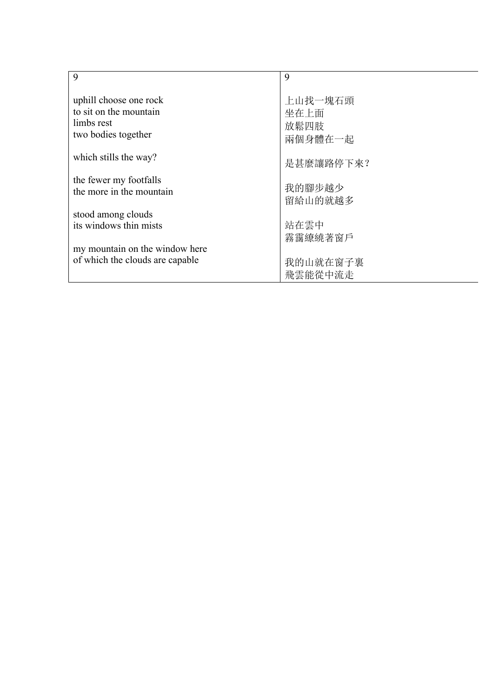| 9                               | 9         |
|---------------------------------|-----------|
| uphill choose one rock          | 上山找一塊石頭   |
| to sit on the mountain          | 坐在上面      |
| limbs rest                      | 放鬆四肢      |
| two bodies together             | 兩個身體在一起   |
| which stills the way?           | 是甚麼讓路停下來? |
| the fewer my footfalls          | 我的腳步越少    |
| the more in the mountain        | 留給山的就越多   |
| stood among clouds              | 站在雲中      |
| its windows thin mists          | 霧靄繚繞著窗戶   |
| my mountain on the window here  | 我的山就在窗子裏  |
| of which the clouds are capable | 飛雲能從中流走   |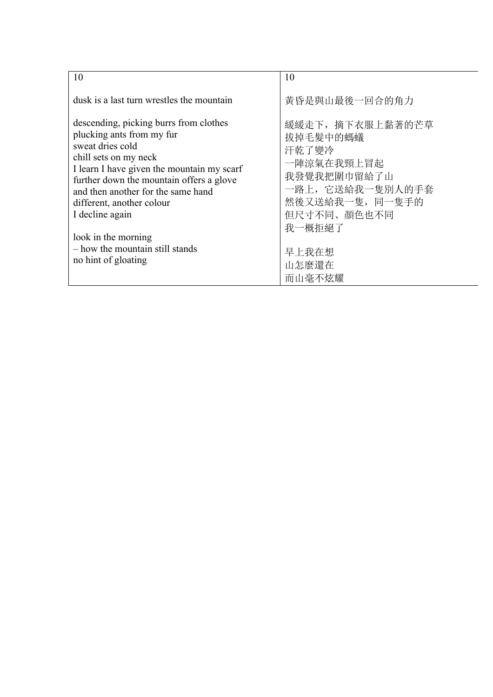| 10                                         | 10               |
|--------------------------------------------|------------------|
| dusk is a last turn wrestles the mountain  | 黃昏是與山最後一回合的角力    |
| descending, picking burrs from clothes     | 緩緩走下, 摘下衣服上黏著的芒草 |
| plucking ants from my fur                  | 拔掉毛髮中的螞蟻         |
| sweat dries cold                           | 汗乾了變冷            |
| chill sets on my neck                      | 一陣涼氣在我頸上冒起       |
| I learn I have given the mountain my scarf | 我發覺我把圍巾留給了山      |
| further down the mountain offers a glove   | 一路上, 它送給我一隻別人的手套 |
| and then another for the same hand         | 然後又送給我一隻, 同一隻手的  |
| different, another colour                  | 但尺寸不同、顏色也不同      |
| I decline again                            | 我一概拒絕了           |
| look in the morning                        | 早上我在想            |
| - how the mountain still stands            | 山怎麼還在            |
| no hint of gloating                        | 而山毫不炫耀           |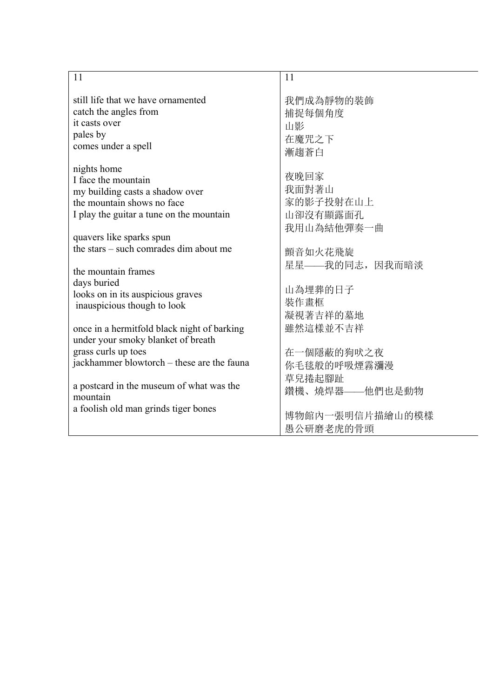| 11                                          | 11              |
|---------------------------------------------|-----------------|
|                                             |                 |
| still life that we have ornamented          | 我們成為靜物的裝飾       |
| catch the angles from<br>it casts over      | 捕捉每個角度          |
| pales by                                    | 山影              |
| comes under a spell                         | 在魔咒之下           |
|                                             | 漸趨蒼白            |
| nights home                                 |                 |
| I face the mountain                         | 夜晚回家            |
| my building casts a shadow over             | 我面對著山           |
| the mountain shows no face                  | 家的影子投射在山上       |
| I play the guitar a tune on the mountain    | 山卻沒有顯露面孔        |
|                                             | 我用山為結他彈奏一曲      |
| quavers like sparks spun                    |                 |
| the stars – such comrades dim about me      | 顫音如火花飛旋         |
|                                             | 星星——我的同志,因我而暗淡  |
| the mountain frames<br>days buried          |                 |
| looks on in its auspicious graves           | 山為埋葬的日子         |
| inauspicious though to look                 | 裝作畫框            |
|                                             | 凝視著吉祥的墓地        |
| once in a hermitfold black night of barking | 雖然這樣並不吉祥        |
| under your smoky blanket of breath          |                 |
| grass curls up toes                         | 在一個隱蔽的狗吠之夜      |
| jackhammer blowtorch – these are the fauna  | 你毛毯般的呼吸煙霧瀰漫     |
|                                             | 草兒捲起腳趾          |
| a postcard in the museum of what was the    | 鑽機、燒焊器——他們也是動物  |
| mountain                                    |                 |
| a foolish old man grinds tiger bones        | 博物館內一張明信片描繪山的模樣 |
|                                             | 愚公研磨老虎的骨頭       |